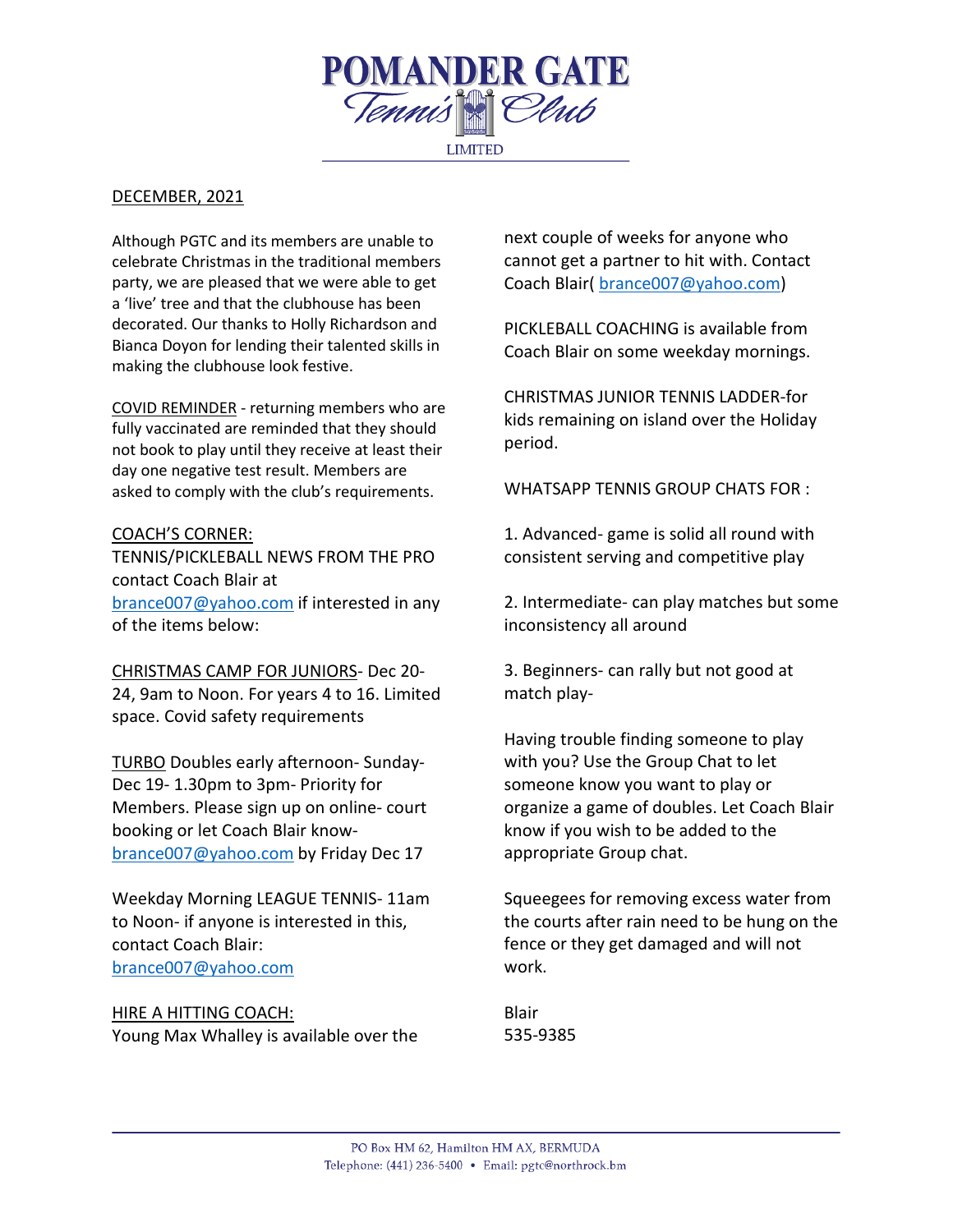

# DECEMBER, 2021

Although PGTC and its members are unable to celebrate Christmas in the traditional members party, we are pleased that we were able to get a 'live' tree and that the clubhouse has been decorated. Our thanks to Holly Richardson and Bianca Doyon for lending their talented skills in making the clubhouse look festive.

COVID REMINDER - returning members who are fully vaccinated are reminded that they should not book to play until they receive at least their day one negative test result. Members are asked to comply with the club's requirements.

# COACH'S CORNER:

TENNIS/PICKLEBALL NEWS FROM THE PRO contact Coach Blair at [brance007@yahoo.com](mailto:brance007@yahoo.com) if interested in any of the items below:

CHRISTMAS CAMP FOR JUNIORS- Dec 20- 24, 9am to Noon. For years 4 to 16. Limited space. Covid safety requirements

TURBO Doubles early afternoon- Sunday-Dec 19- 1.30pm to 3pm- Priority for Members. Please sign up on online- court booking or let Coach Blair know[brance007@yahoo.com](mailto:brance007@yahoo.com) by Friday Dec 17

Weekday Morning LEAGUE TENNIS- 11am to Noon- if anyone is interested in this, contact Coach Blair: [brance007@yahoo.com](mailto:brance007@yahoo.com)

# HIRE A HITTING COACH:

Young Max Whalley is available over the

next couple of weeks for anyone who cannot get a partner to hit with. Contact Coach Blair( [brance007@yahoo.com\)](mailto:brance007@yahoo.com)

PICKLEBALL COACHING is available from Coach Blair on some weekday mornings.

CHRISTMAS JUNIOR TENNIS LADDER-for kids remaining on island over the Holiday period.

WHATSAPP TENNIS GROUP CHATS FOR :

1. Advanced- game is solid all round with consistent serving and competitive play

2. Intermediate- can play matches but some inconsistency all around

3. Beginners- can rally but not good at match play-

Having trouble finding someone to play with you? Use the Group Chat to let someone know you want to play or organize a game of doubles. Let Coach Blair know if you wish to be added to the appropriate Group chat.

Squeegees for removing excess water from the courts after rain need to be hung on the fence or they get damaged and will not work.

Blair 535-9385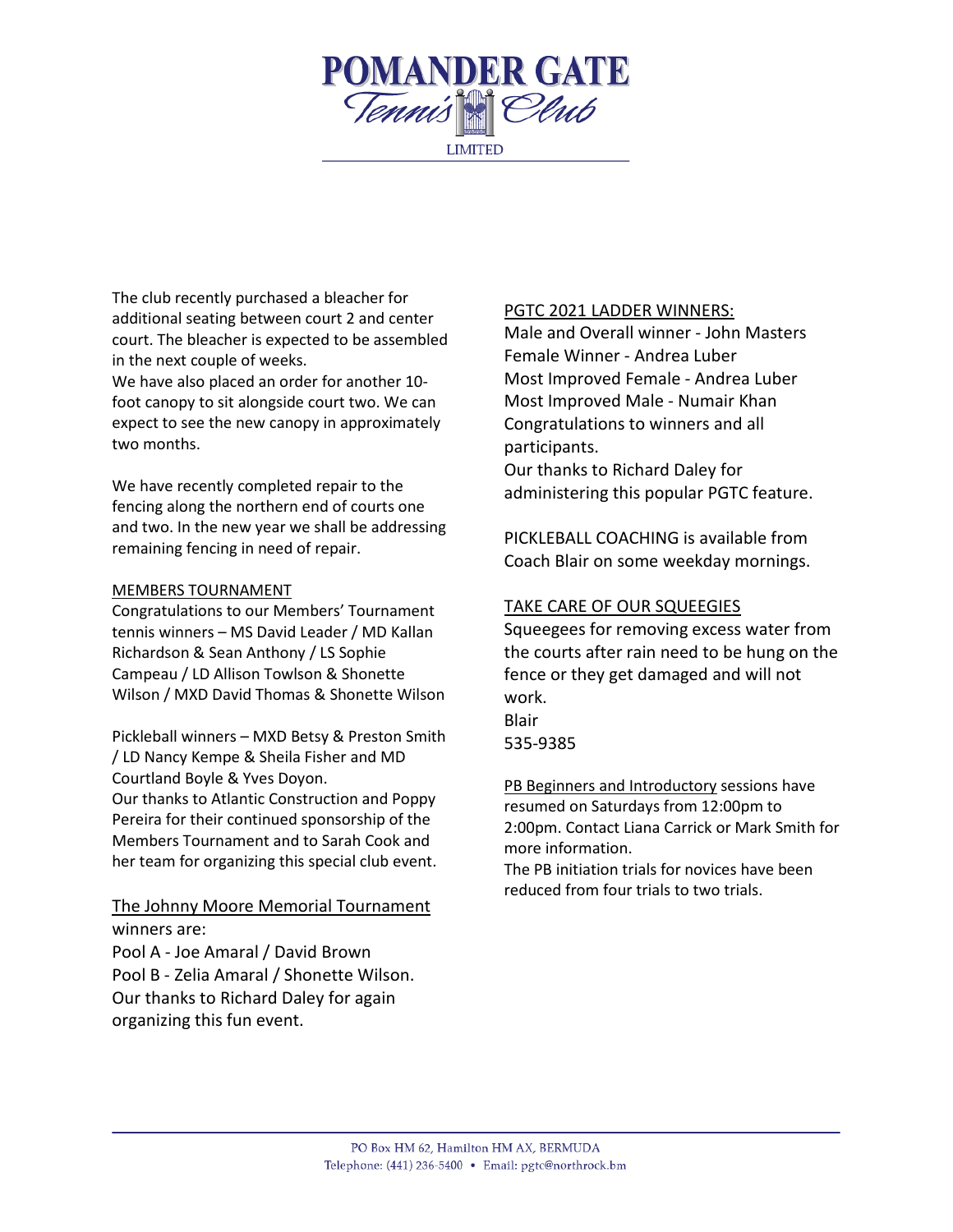

The club recently purchased a bleacher for additional seating between court 2 and center court. The bleacher is expected to be assembled in the next couple of weeks.

We have also placed an order for another 10 foot canopy to sit alongside court two. We can expect to see the new canopy in approximately two months.

We have recently completed repair to the fencing along the northern end of courts one and two. In the new year we shall be addressing remaining fencing in need of repair.

## MEMBERS TOURNAMENT

Congratulations to our Members' Tournament tennis winners – MS David Leader / MD Kallan Richardson & Sean Anthony / LS Sophie Campeau / LD Allison Towlson & Shonette Wilson / MXD David Thomas & Shonette Wilson

Pickleball winners – MXD Betsy & Preston Smith / LD Nancy Kempe & Sheila Fisher and MD Courtland Boyle & Yves Doyon.

Our thanks to Atlantic Construction and Poppy Pereira for their continued sponsorship of the Members Tournament and to Sarah Cook and her team for organizing this special club event.

The Johnny Moore Memorial Tournament winners are:

Pool A - Joe Amaral / David Brown Pool B - Zelia Amaral / Shonette Wilson. Our thanks to Richard Daley for again organizing this fun event.

# PGTC 2021 LADDER WINNERS:

Male and Overall winner - John Masters Female Winner - Andrea Luber Most Improved Female - Andrea Luber Most Improved Male - Numair Khan Congratulations to winners and all participants.

Our thanks to Richard Daley for administering this popular PGTC feature.

PICKLEBALL COACHING is available from Coach Blair on some weekday mornings.

# TAKE CARE OF OUR SQUEEGIES

Squeegees for removing excess water from the courts after rain need to be hung on the fence or they get damaged and will not work. Blair 535-9385

PB Beginners and Introductory sessions have resumed on Saturdays from 12:00pm to 2:00pm. Contact Liana Carrick or Mark Smith for more information.

The PB initiation trials for novices have been reduced from four trials to two trials.